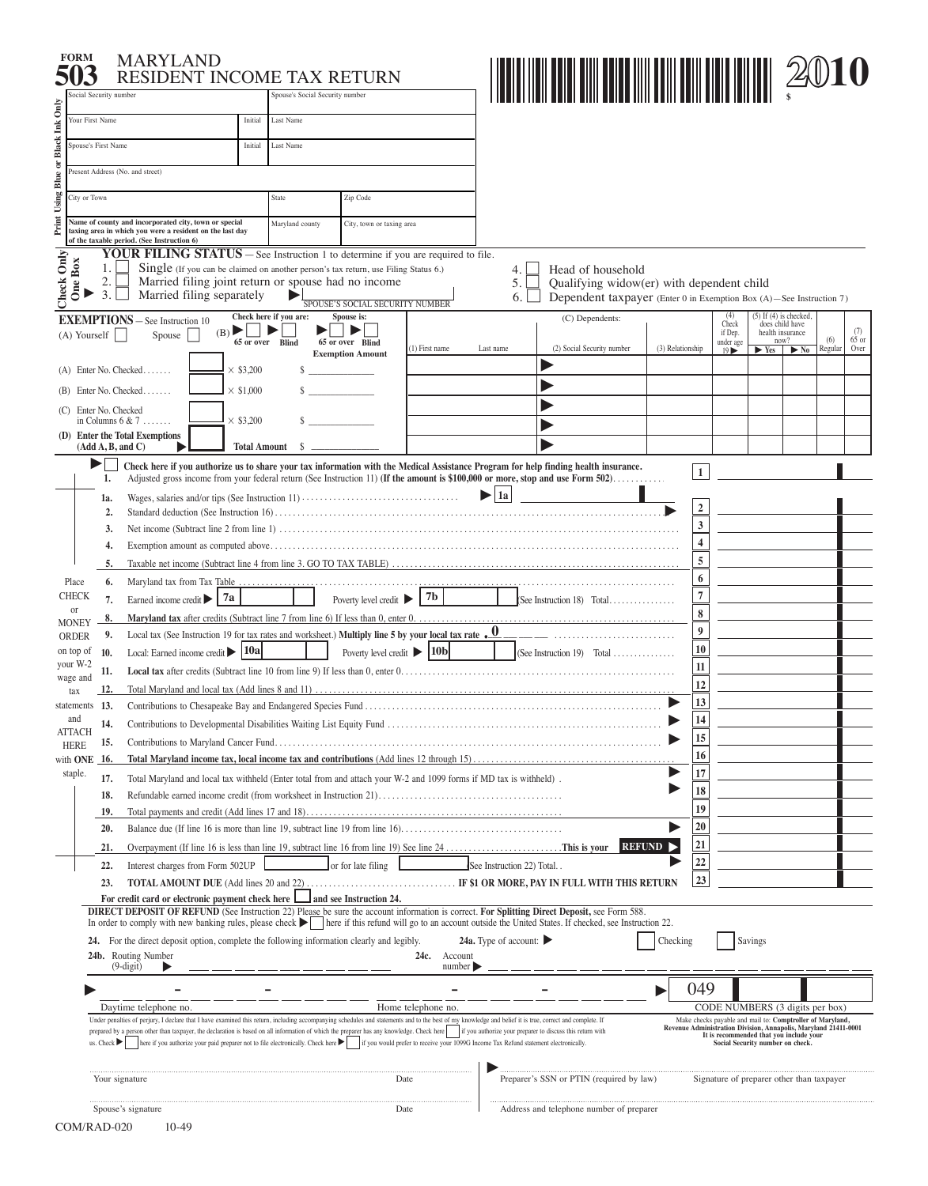|                                    | <b>MARYLAND</b><br>RESIDENT INCOME TAX RETURN                                                                                                                                                                                                                                                                                                                                                                                                                                                                                                                                                                               |                         |                                 |                                               |                    |                                             |                                                                                                                                                                                                                                                                        |                  |                                                                                                                              |                                                           |                                                                             |                     |                |                        |
|------------------------------------|-----------------------------------------------------------------------------------------------------------------------------------------------------------------------------------------------------------------------------------------------------------------------------------------------------------------------------------------------------------------------------------------------------------------------------------------------------------------------------------------------------------------------------------------------------------------------------------------------------------------------------|-------------------------|---------------------------------|-----------------------------------------------|--------------------|---------------------------------------------|------------------------------------------------------------------------------------------------------------------------------------------------------------------------------------------------------------------------------------------------------------------------|------------------|------------------------------------------------------------------------------------------------------------------------------|-----------------------------------------------------------|-----------------------------------------------------------------------------|---------------------|----------------|------------------------|
| Social Security number             |                                                                                                                                                                                                                                                                                                                                                                                                                                                                                                                                                                                                                             |                         | Spouse's Social Security number |                                               |                    |                                             |                                                                                                                                                                                                                                                                        |                  |                                                                                                                              |                                                           |                                                                             |                     |                |                        |
| Your First Name                    |                                                                                                                                                                                                                                                                                                                                                                                                                                                                                                                                                                                                                             | Initial                 | Last Name                       |                                               |                    |                                             |                                                                                                                                                                                                                                                                        |                  |                                                                                                                              |                                                           |                                                                             |                     |                |                        |
| Spouse's First Name                |                                                                                                                                                                                                                                                                                                                                                                                                                                                                                                                                                                                                                             | Initial                 | Last Name                       |                                               |                    |                                             |                                                                                                                                                                                                                                                                        |                  |                                                                                                                              |                                                           |                                                                             |                     |                |                        |
|                                    | Present Address (No. and street)                                                                                                                                                                                                                                                                                                                                                                                                                                                                                                                                                                                            |                         |                                 |                                               |                    |                                             |                                                                                                                                                                                                                                                                        |                  |                                                                                                                              |                                                           |                                                                             |                     |                |                        |
|                                    |                                                                                                                                                                                                                                                                                                                                                                                                                                                                                                                                                                                                                             |                         |                                 |                                               |                    |                                             |                                                                                                                                                                                                                                                                        |                  |                                                                                                                              |                                                           |                                                                             |                     |                |                        |
| City or Town                       |                                                                                                                                                                                                                                                                                                                                                                                                                                                                                                                                                                                                                             |                         | State                           | Zip Code                                      |                    |                                             |                                                                                                                                                                                                                                                                        |                  |                                                                                                                              |                                                           |                                                                             |                     |                |                        |
|                                    | Name of county and incorporated city, town or special<br>taxing area in which you were a resident on the last day                                                                                                                                                                                                                                                                                                                                                                                                                                                                                                           |                         | Maryland county                 | City, town or taxing area                     |                    |                                             |                                                                                                                                                                                                                                                                        |                  |                                                                                                                              |                                                           |                                                                             |                     |                |                        |
|                                    | of the taxable period. (See Instruction 6)<br><b>YOUR FILING STATUS</b> – See Instruction 1 to determine if you are required to file.                                                                                                                                                                                                                                                                                                                                                                                                                                                                                       |                         |                                 |                                               |                    |                                             |                                                                                                                                                                                                                                                                        |                  |                                                                                                                              |                                                           |                                                                             |                     |                |                        |
| Box<br>്ള                          | 1.<br>Single (If you can be claimed on another person's tax return, use Filing Status 6.)<br>2.<br>Married filing joint return or spouse had no income<br>3.<br>Married filing separately                                                                                                                                                                                                                                                                                                                                                                                                                                   |                         |                                 |                                               |                    | 4.<br>5.<br>6.                              | Head of household<br>Qualifying widow(er) with dependent child<br>Dependent taxpayer (Enter 0 in Exemption Box (A)-See Instruction 7)                                                                                                                                  |                  |                                                                                                                              |                                                           |                                                                             |                     |                |                        |
| Check Only                         | <b>EXEMPTIONS</b> - See Instruction 10                                                                                                                                                                                                                                                                                                                                                                                                                                                                                                                                                                                      |                         | Check here if you are:          | SPOUSE'S SOCIAL SECURITY NUMBER<br>Spouse is: |                    |                                             | (C) Dependents:                                                                                                                                                                                                                                                        |                  |                                                                                                                              | (4)                                                       | $(5)$ If $(4)$ is checked,                                                  |                     |                |                        |
| (A) Yourself                       | Spouse                                                                                                                                                                                                                                                                                                                                                                                                                                                                                                                                                                                                                      | (B)<br>65 or over Blind | ▶                               | 65 or over Blind<br><b>Exemption Amount</b>   | (1) First name     | Last name                                   | (2) Social Security number                                                                                                                                                                                                                                             | (3) Relationship |                                                                                                                              | Check<br>if Dep.<br>under age<br>$19 \blacktriangleright$ | does child have<br>health insurance<br>now?<br>$\blacktriangleright$ Yes    | $\triangleright$ No | (6)<br>Regular | (7)<br>$65$ or<br>Over |
|                                    | $(A)$ Enter No. Checked                                                                                                                                                                                                                                                                                                                                                                                                                                                                                                                                                                                                     | $\times$ \$3,200        |                                 |                                               |                    |                                             |                                                                                                                                                                                                                                                                        |                  |                                                                                                                              |                                                           |                                                                             |                     |                |                        |
|                                    | Enter No. Checked                                                                                                                                                                                                                                                                                                                                                                                                                                                                                                                                                                                                           | $\times$ \$1,000        |                                 |                                               |                    |                                             |                                                                                                                                                                                                                                                                        |                  |                                                                                                                              |                                                           |                                                                             |                     |                |                        |
|                                    | (C) Enter No. Checked                                                                                                                                                                                                                                                                                                                                                                                                                                                                                                                                                                                                       |                         |                                 |                                               |                    |                                             |                                                                                                                                                                                                                                                                        |                  |                                                                                                                              |                                                           |                                                                             |                     |                |                        |
|                                    | in Columns $6 & 7$ .<br>(D) Enter the Total Exemptions                                                                                                                                                                                                                                                                                                                                                                                                                                                                                                                                                                      | $\times$ \$3,200        |                                 |                                               |                    |                                             |                                                                                                                                                                                                                                                                        |                  |                                                                                                                              |                                                           |                                                                             |                     |                |                        |
|                                    | (Add A, B, and C)                                                                                                                                                                                                                                                                                                                                                                                                                                                                                                                                                                                                           | <b>Total Amount</b>     | s.                              |                                               |                    |                                             |                                                                                                                                                                                                                                                                        |                  |                                                                                                                              |                                                           |                                                                             |                     |                |                        |
| 1a.                                | 1.<br>$\overline{2}$ .                                                                                                                                                                                                                                                                                                                                                                                                                                                                                                                                                                                                      |                         |                                 |                                               |                    | 1a  <br>▶                                   | Check here if you authorize us to share your tax information with the Medical Assistance Program for help finding health insurance.<br>Adjusted gross income from your federal return (See Instruction 11) (If the amount is \$100,000 or more, stop and use Form 502) |                  | $\mathbf{1}$<br>$\boldsymbol{2}$                                                                                             |                                                           |                                                                             |                     |                |                        |
|                                    | 3.                                                                                                                                                                                                                                                                                                                                                                                                                                                                                                                                                                                                                          |                         |                                 |                                               |                    |                                             |                                                                                                                                                                                                                                                                        |                  | 3                                                                                                                            |                                                           |                                                                             |                     |                |                        |
|                                    | 4.                                                                                                                                                                                                                                                                                                                                                                                                                                                                                                                                                                                                                          |                         |                                 |                                               |                    |                                             |                                                                                                                                                                                                                                                                        |                  | 4<br>5                                                                                                                       |                                                           |                                                                             |                     |                |                        |
|                                    | 5.                                                                                                                                                                                                                                                                                                                                                                                                                                                                                                                                                                                                                          |                         |                                 |                                               |                    |                                             |                                                                                                                                                                                                                                                                        |                  | 6                                                                                                                            |                                                           |                                                                             |                     |                |                        |
| Place<br><b>CHECK</b>              | 6.<br>Earned income credit $\blacktriangleright$<br>7.                                                                                                                                                                                                                                                                                                                                                                                                                                                                                                                                                                      | 7a                      |                                 | Poverty level credit >                        | 7 <sub>b</sub>     |                                             | (See Instruction 18) Total                                                                                                                                                                                                                                             |                  | $\overline{7}$                                                                                                               |                                                           |                                                                             |                     |                |                        |
| or                                 | 8.                                                                                                                                                                                                                                                                                                                                                                                                                                                                                                                                                                                                                          |                         |                                 |                                               |                    |                                             |                                                                                                                                                                                                                                                                        |                  | 8                                                                                                                            |                                                           |                                                                             |                     |                |                        |
| <b>MONEY</b><br><b>ORDER</b>       | Local tax (See Instruction 19 for tax rates and worksheet.) Multiply line 5 by your local tax rate $\cdot \frac{0}{0}$<br>9.                                                                                                                                                                                                                                                                                                                                                                                                                                                                                                |                         |                                 |                                               |                    |                                             |                                                                                                                                                                                                                                                                        |                  | $\boldsymbol{9}$                                                                                                             |                                                           |                                                                             |                     |                |                        |
| on top of<br>10.                   | Local: Earned income credit   10a                                                                                                                                                                                                                                                                                                                                                                                                                                                                                                                                                                                           |                         |                                 | Poverty level credit $\triangleright$ 10b     |                    |                                             | (See Instruction 19) Total                                                                                                                                                                                                                                             |                  | 10                                                                                                                           |                                                           |                                                                             |                     |                |                        |
| your W-2<br>11,<br>wage and        |                                                                                                                                                                                                                                                                                                                                                                                                                                                                                                                                                                                                                             |                         |                                 |                                               |                    |                                             |                                                                                                                                                                                                                                                                        |                  | $11\,$                                                                                                                       |                                                           |                                                                             |                     |                |                        |
| 12.<br>tax                         |                                                                                                                                                                                                                                                                                                                                                                                                                                                                                                                                                                                                                             |                         |                                 |                                               |                    |                                             |                                                                                                                                                                                                                                                                        |                  | 12                                                                                                                           |                                                           |                                                                             |                     |                |                        |
| statements 13.<br>and              |                                                                                                                                                                                                                                                                                                                                                                                                                                                                                                                                                                                                                             |                         |                                 |                                               |                    |                                             |                                                                                                                                                                                                                                                                        |                  | 13                                                                                                                           |                                                           |                                                                             |                     |                |                        |
| <b>ATTACH</b>                      | 14.                                                                                                                                                                                                                                                                                                                                                                                                                                                                                                                                                                                                                         |                         |                                 |                                               |                    |                                             |                                                                                                                                                                                                                                                                        |                  | 14                                                                                                                           |                                                           |                                                                             |                     |                |                        |
| <b>HERE</b>                        | 15.                                                                                                                                                                                                                                                                                                                                                                                                                                                                                                                                                                                                                         |                         |                                 |                                               |                    |                                             |                                                                                                                                                                                                                                                                        |                  | 15<br>16                                                                                                                     |                                                           |                                                                             |                     |                |                        |
| with <b>ONE</b><br>-16.<br>staple. |                                                                                                                                                                                                                                                                                                                                                                                                                                                                                                                                                                                                                             |                         |                                 |                                               |                    |                                             |                                                                                                                                                                                                                                                                        |                  | 17                                                                                                                           |                                                           |                                                                             |                     |                |                        |
|                                    | 17.<br>Total Maryland and local tax withheld (Enter total from and attach your W-2 and 1099 forms if MD tax is withheld).                                                                                                                                                                                                                                                                                                                                                                                                                                                                                                   |                         |                                 |                                               |                    |                                             |                                                                                                                                                                                                                                                                        |                  | 18                                                                                                                           |                                                           |                                                                             |                     |                |                        |
| 18.<br>19.                         |                                                                                                                                                                                                                                                                                                                                                                                                                                                                                                                                                                                                                             |                         |                                 |                                               |                    |                                             |                                                                                                                                                                                                                                                                        |                  | 19                                                                                                                           |                                                           |                                                                             |                     |                |                        |
|                                    | Balance due (If line 16 is more than line 19, subtract line 19 from line 16)<br>20.                                                                                                                                                                                                                                                                                                                                                                                                                                                                                                                                         |                         |                                 |                                               |                    |                                             |                                                                                                                                                                                                                                                                        |                  | 20                                                                                                                           |                                                           |                                                                             |                     |                |                        |
|                                    | Overpayment (If line 16 is less than line 19, subtract line 16 from line 19) See line $24$ This is your<br>21.                                                                                                                                                                                                                                                                                                                                                                                                                                                                                                              |                         |                                 |                                               |                    |                                             |                                                                                                                                                                                                                                                                        | REFUND >         | 21                                                                                                                           |                                                           |                                                                             |                     |                |                        |
|                                    | Interest charges from Form 502UP<br>22.                                                                                                                                                                                                                                                                                                                                                                                                                                                                                                                                                                                     |                         |                                 | or for late filing                            |                    | See Instruction 22) Total                   |                                                                                                                                                                                                                                                                        |                  | 22                                                                                                                           |                                                           |                                                                             |                     |                |                        |
|                                    | 23.                                                                                                                                                                                                                                                                                                                                                                                                                                                                                                                                                                                                                         |                         |                                 |                                               |                    |                                             |                                                                                                                                                                                                                                                                        |                  | 23                                                                                                                           |                                                           |                                                                             |                     |                |                        |
|                                    | For credit card or electronic payment check here                                                                                                                                                                                                                                                                                                                                                                                                                                                                                                                                                                            |                         |                                 | and see Instruction 24.                       |                    |                                             |                                                                                                                                                                                                                                                                        |                  |                                                                                                                              |                                                           |                                                                             |                     |                |                        |
|                                    | DIRECT DEPOSIT OF REFUND (See Instruction 22) Please be sure the account information is correct. For Splitting Direct Deposit, see Form 588.<br>In order to comply with new banking rules, please check     here if this refund will go to an account outside the United States. If checked, see Instruction 22.                                                                                                                                                                                                                                                                                                            |                         |                                 |                                               |                    |                                             |                                                                                                                                                                                                                                                                        |                  |                                                                                                                              |                                                           |                                                                             |                     |                |                        |
|                                    | <b>24.</b> For the direct deposit option, complete the following information clearly and legibly.                                                                                                                                                                                                                                                                                                                                                                                                                                                                                                                           |                         |                                 |                                               |                    | 24a. Type of account: $\blacktriangleright$ |                                                                                                                                                                                                                                                                        | Checking         |                                                                                                                              |                                                           | Savings                                                                     |                     |                |                        |
|                                    | 24b. Routing Number                                                                                                                                                                                                                                                                                                                                                                                                                                                                                                                                                                                                         |                         |                                 |                                               | 24c.<br>Account    |                                             |                                                                                                                                                                                                                                                                        |                  |                                                                                                                              |                                                           |                                                                             |                     |                |                        |
|                                    | $(9-digit)$                                                                                                                                                                                                                                                                                                                                                                                                                                                                                                                                                                                                                 |                         |                                 |                                               | number             |                                             |                                                                                                                                                                                                                                                                        |                  |                                                                                                                              |                                                           |                                                                             |                     |                |                        |
|                                    |                                                                                                                                                                                                                                                                                                                                                                                                                                                                                                                                                                                                                             |                         |                                 |                                               |                    |                                             |                                                                                                                                                                                                                                                                        |                  | 049                                                                                                                          |                                                           |                                                                             |                     |                |                        |
|                                    | Daytime telephone no.                                                                                                                                                                                                                                                                                                                                                                                                                                                                                                                                                                                                       |                         |                                 |                                               | Home telephone no. |                                             |                                                                                                                                                                                                                                                                        |                  |                                                                                                                              |                                                           | CODE NUMBERS (3 digits per box)                                             |                     |                |                        |
|                                    | Under penalties of perjury, I declare that I have examined this return, including accompanying schedules and statements and to the best of my knowledge and belief it is true, correct and complete. If<br>prepared by a person other than taxpayer, the declaration is based on all information of which the preparer has any knowledge. Check here if you authorize your preparer to discuss this return with<br>here if you authorize your paid preparer not to file electronically. Check here if you would prefer to receive your 1099G Income Tax Refund statement electronically.<br>us. Check $\blacktriangleright$ |                         |                                 |                                               |                    |                                             |                                                                                                                                                                                                                                                                        |                  | Make checks payable and mail to: Comptroller of Maryland,<br>Revenue Administration Division, Annapolis, Maryland 21411-0001 |                                                           | It is recommended that you include your<br>Social Security number on check. |                     |                |                        |
|                                    |                                                                                                                                                                                                                                                                                                                                                                                                                                                                                                                                                                                                                             |                         |                                 |                                               |                    |                                             |                                                                                                                                                                                                                                                                        |                  |                                                                                                                              |                                                           |                                                                             |                     |                |                        |
|                                    | Your signature                                                                                                                                                                                                                                                                                                                                                                                                                                                                                                                                                                                                              |                         |                                 |                                               | Date               |                                             | Preparer's SSN or PTIN (required by law)                                                                                                                                                                                                                               |                  |                                                                                                                              |                                                           | Signature of preparer other than taxpayer                                   |                     |                |                        |